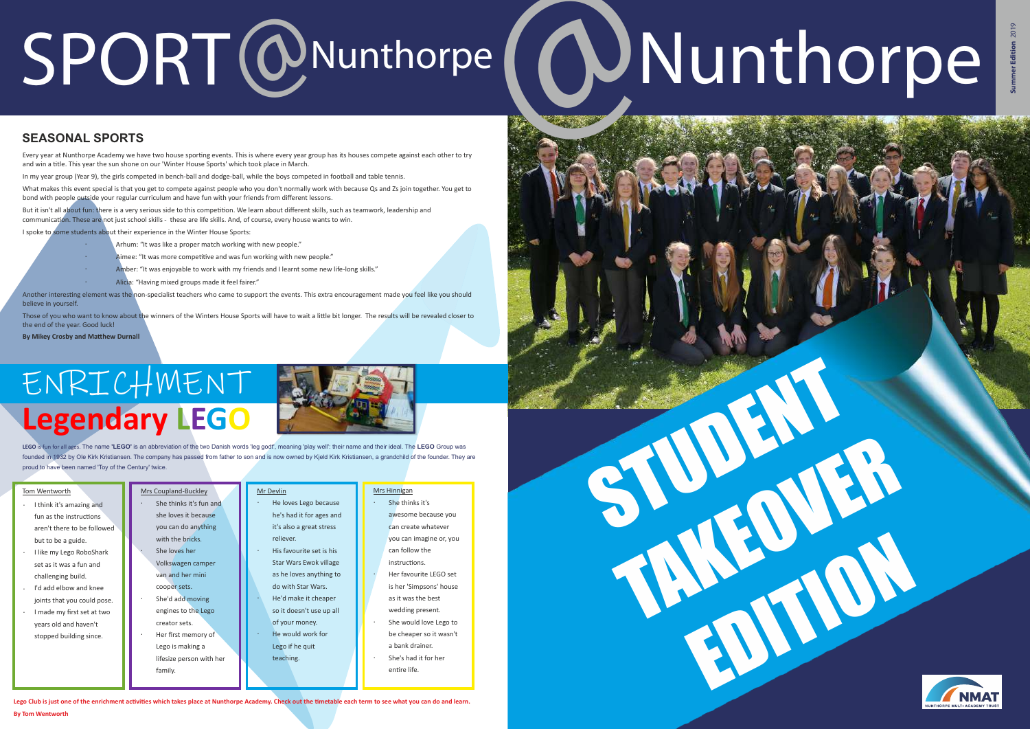

Another interesting element was the non-specialist teachers who came to support the events. This extra encouragement made you feel like you should believe in yourself.

In my year group (Year 9), the girls competed in bench-ball and dodge-ball, while the boys competed in football and table tennis.

I spoke to some students about their experience in the Winter House Sports:

Those of you who want to know about the winners of the Winters House Sports will have to wait a little bit longer. The results will be revealed closer to the end of the year. Good luck!

**By Mikey Crosby and Matthew Durnall** 

- Arhum: "It was like a proper match working with new people."
- Aimee: "It was more competitive and was fun working with new people."
- Amber: "It was enjoyable to work with my friends and I learnt some new life-long skills."
	- Alicia: "Having mixed groups made it feel fairer."

What makes this event special is that you get to compete against people who you don't normally work with because Qs and Zs join together. You get to bond with people outside your regular curriculum and have fun with your friends from different lessons.

But it isn't all about fun: there is a very serious side to this competition. We learn about different skills, such as teamwork, leadership and communication. These are not just school skills - these are life skills. And, of course, every house wants to win.

- She thinks it's awesome because you can create whatever you can imagine or, you can follow the instructions. She would love Lego to be cheaper so it wasn't a bank drainer. Her favourite LEGO set is her 'Simpsons' house as it was the best wedding present.
- She's had it for her entire life

# SPORT @Nunthorpe ( @Nunthorpe

## **SEASONAL SPORTS**

Every year at Nunthorpe Academy we have two house sporting events. This is where every year group has its houses compete against each other to try and win a title. This year the sun shone on our 'Winter House Sports' which took place in March

Lego Club is just one of the enrichment activities which takes place at Nunthorpe Academy. Check out the timetable each term to see what you can do and learn **By Tom Wentworth**



BJ H

TAKEOVER<br>TAKEOVER<br>TAKEOVER

**LEGO** is fun for all ages. The name **'LEGO'** is an abbreviation of the two Danish words 'leg godt', meaning 'play well': their name and their ideal. The **LEGO** Group was founded in 1932 by Ole Kirk Kristiansen. The company has passed from father to son and is now owned by Kjeld Kirk Kristiansen, a grandchild of the founder. They are proud to have been named 'Toy of the Century' twice.

- She loves her Volkswagen camper van and her mini cooper sets. She thinks it's fun and she loves it because you can do anything with the bricks.
- She'd add moving engines to the Lego creator sets.

#### Mrs Coupland-Buckley

Her first memory of Lego is making a lifesize person with her

family.

#### Mr Devlin

- He loves Lego because he's had it for ages and it's also a great stress reliever
- His favourite set is his Star Wars Ewok village as he loves anything to do with Star Wars.
- He'd make it cheaper so it doesn't use up all
- of your money. He would work for
- Lego if he quit teaching.

# **Legendary LEGO**  ENRICHMENT



#### Mrs Hinnigan

- I think it's amazing and  $f$ un as the instructions aren't there to be followed but to be a guide.
- I like my Lego RoboShark set as it was a fun and challenging build.
- I'd add elbow and knee joints that you could pose.
- I made my first set at two years old and haven't stopped building since.

#### Tom Wentworth